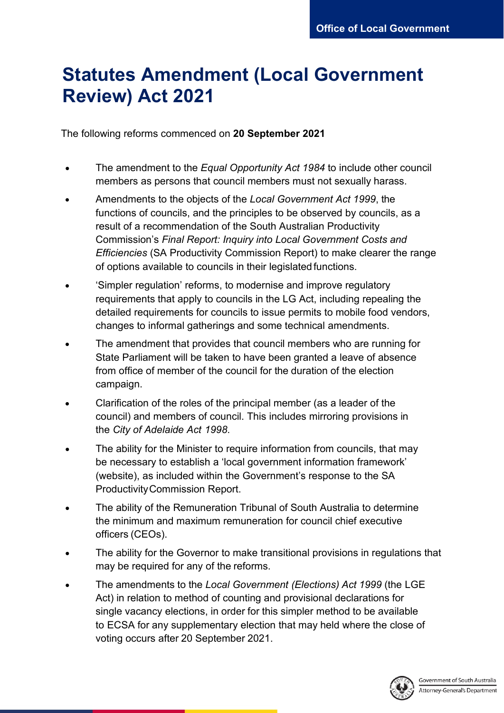## **Statutes Amendment (Local Government Review) Act 2021**

The following reforms commenced on **20 September 2021**

- The amendment to the *Equal Opportunity Act 1984* to include other council members as persons that council members must not sexually harass.
- Amendments to the objects of the *Local Government Act 1999*, the functions of councils, and the principles to be observed by councils, as a result of a recommendation of the South Australian Productivity Commission's *Final Report: Inquiry into Local Government Costs and Efficiencies* (SA Productivity Commission Report) to make clearer the range of options available to councils in their legislated functions.
- 'Simpler regulation' reforms, to modernise and improve regulatory requirements that apply to councils in the LG Act, including repealing the detailed requirements for councils to issue permits to mobile food vendors, changes to informal gatherings and some technical amendments.
- The amendment that provides that council members who are running for State Parliament will be taken to have been granted a leave of absence from office of member of the council for the duration of the election campaign.
- Clarification of the roles of the principal member (as a leader of the council) and members of council. This includes mirroring provisions in the *City of Adelaide Act 1998*.
- The ability for the Minister to require information from councils, that may be necessary to establish a 'local government information framework' (website), as included within the Government's response to the SA ProductivityCommission Report.
- The ability of the Remuneration Tribunal of South Australia to determine the minimum and maximum remuneration for council chief executive officers (CEOs).
- The ability for the Governor to make transitional provisions in regulations that may be required for any of the reforms.
- The amendments to the *Local Government (Elections) Act 1999* (the LGE Act) in relation to method of counting and provisional declarations for single vacancy elections, in order for this simpler method to be available to ECSA for any supplementary election that may held where the close of voting occurs after 20 September 2021.